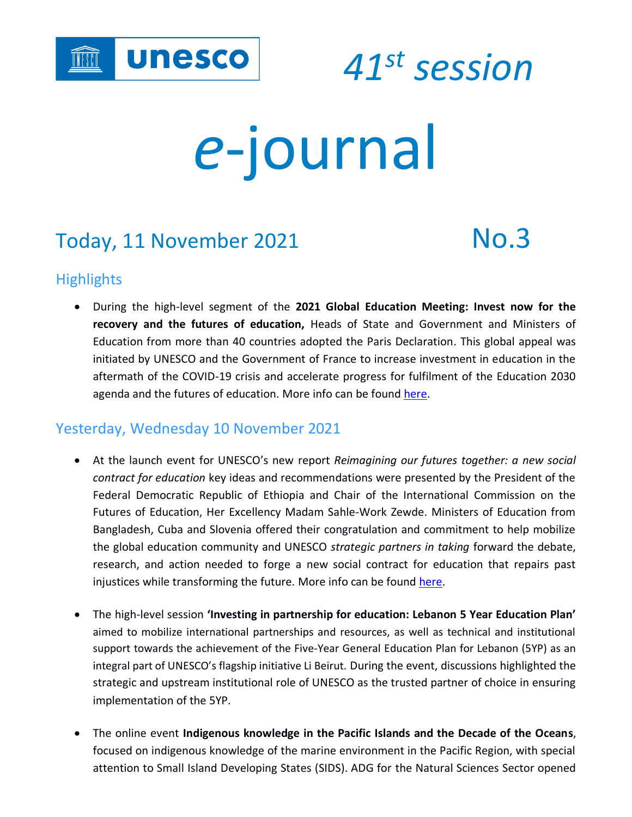

 *<sup>41</sup>st session*

# *e*-journal

# Today, 11 November 2021 No.3

# **Highlights**

• During the high-level segment of the **2021 Global Education Meeting: Invest now for the recovery and the futures of education,** Heads of State and Government and Ministers of Education from more than 40 countries adopted the Paris Declaration. This global appeal was initiated by UNESCO and the Government of France to increase investment in education in the aftermath of the COVID-19 crisis and accelerate progress for fulfilment of the Education 2030 agenda and the futures of education. More info can be found [here.](https://en.unesco.org/news/unesco-member-states-unite-increase-investment-education)

# Yesterday, Wednesday 10 November 2021

- At the launch event for UNESCO's new report *Reimagining our futures together: a new social contract for education* key ideas and recommendations were presented by the President of the Federal Democratic Republic of Ethiopia and Chair of the International Commission on the Futures of Education, Her Excellency Madam Sahle-Work Zewde. Ministers of Education from Bangladesh, Cuba and Slovenia offered their congratulation and commitment to help mobilize the global education community and UNESCO *strategic partners in taking* forward the debate, research, and action needed to forge a new social contract for education that repairs past injustices while transforming the future. More info can be found [here.](https://fr.unesco.org/news/ce-quil-faut-savoir-du-rapport-lunesco-futurs-leducation)
- The high-level session **'Investing in partnership for education: Lebanon 5 Year Education Plan'** aimed to mobilize international partnerships and resources, as well as technical and institutional support towards the achievement of the Five-Year General Education Plan for Lebanon (5YP) as an integral part of UNESCO's flagship initiative Li Beirut. During the event, discussions highlighted the strategic and upstream institutional role of UNESCO as the trusted partner of choice in ensuring implementation of the 5YP.
- The online event **Indigenous knowledge in the Pacific Islands and the Decade of the Oceans**, focused on indigenous knowledge of the marine environment in the Pacific Region, with special attention to Small Island Developing States (SIDS). ADG for the Natural Sciences Sector opened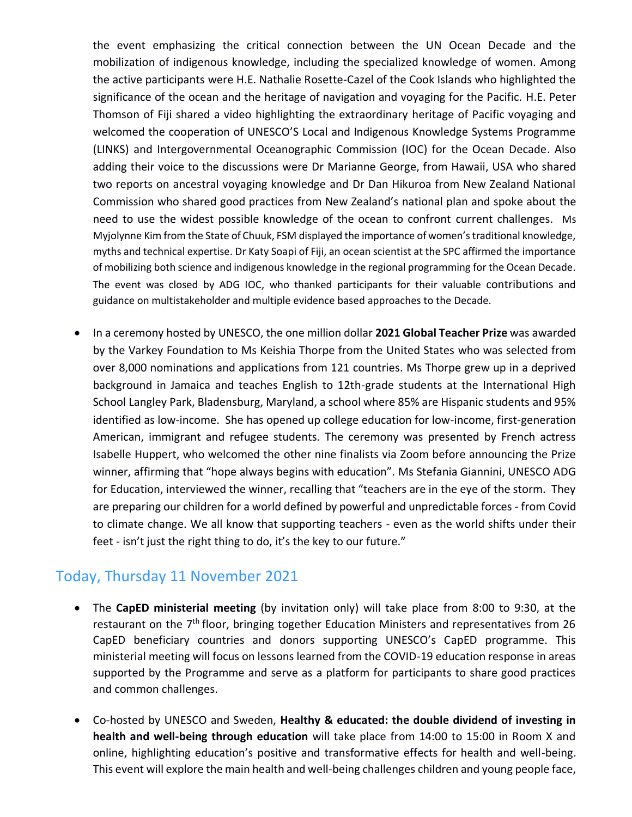the event emphasizing the critical connection between the UN Ocean Decade and the mobilization of indigenous knowledge, including the specialized knowledge of women. Among the active participants were H.E. Nathalie Rosette-Cazel of the Cook Islands who highlighted the significance of the ocean and the heritage of navigation and voyaging for the Pacific. H.E. Peter Thomson of Fiji shared a video highlighting the extraordinary heritage of Pacific voyaging and welcomed the cooperation of UNESCO'S Local and Indigenous Knowledge Systems Programme (LINKS) and Intergovernmental Oceanographic Commission (IOC) for the Ocean Decade. Also adding their voice to the discussions were Dr Marianne George, from Hawaii, USA who shared two reports on ancestral voyaging knowledge and Dr Dan Hikuroa from New Zealand National Commission who shared good practices from New Zealand's national plan and spoke about the need to use the widest possible knowledge of the ocean to confront current challenges. Ms Myjolynne Kim from the State of Chuuk, FSM displayed the importance of women's traditional knowledge, myths and technical expertise. Dr Katy Soapi of Fiji, an ocean scientist at the SPC affirmed the importance of mobilizing both science and indigenous knowledge in the regional programming for the Ocean Decade. The event was closed by ADG IOC, who thanked participants for their valuable contributions and guidance on multistakeholder and multiple evidence based approaches to the Decade.

• In a ceremony hosted by UNESCO, the one million dollar **2021 Global Teacher Prize** was awarded by the Varkey Foundation to Ms Keishia Thorpe from the United States who was selected from over 8,000 nominations and applications from 121 countries. Ms Thorpe grew up in a deprived background in Jamaica and teaches English to 12th-grade students at the International High School Langley Park, Bladensburg, Maryland, a school where 85% are Hispanic students and 95% identified as low-income. She has opened up college education for low-income, first-generation American, immigrant and refugee students. The ceremony was presented by French actress Isabelle Huppert, who welcomed the other nine finalists via Zoom before announcing the Prize winner, affirming that "hope always begins with education". Ms Stefania Giannini, UNESCO ADG for Education, interviewed the winner, recalling that "teachers are in the eye of the storm. They are preparing our children for a world defined by powerful and unpredictable forces - from Covid to climate change. We all know that supporting teachers - even as the world shifts under their feet - isn't just the right thing to do, it's the key to our future."

### Today, Thursday 11 November 2021

- The **CapED ministerial meeting** (by invitation only) will take place from 8:00 to 9:30, at the restaurant on the  $7<sup>th</sup>$  floor, bringing together Education Ministers and representatives from 26 CapED beneficiary countries and donors supporting UNESCO's CapED programme. This ministerial meeting will focus on lessons learned from the COVID-19 education response in areas supported by the Programme and serve as a platform for participants to share good practices and common challenges.
- Co-hosted by UNESCO and Sweden, **Healthy & educated: the double dividend of investing in health and well-being through education** will take place from 14:00 to 15:00 in Room X and online, highlighting education's positive and transformative effects for health and well-being. This event will explore the main health and well-being challenges children and young people face,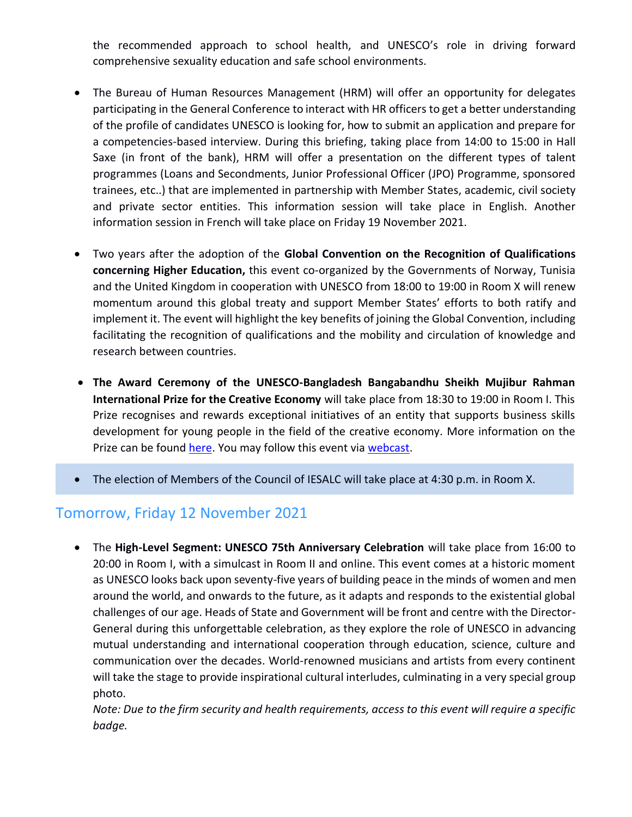the recommended approach to school health, and UNESCO's role in driving forward comprehensive sexuality education and safe school environments.

- The Bureau of Human Resources Management (HRM) will offer an opportunity for delegates participating in the General Conference to interact with HR officers to get a better understanding of the profile of candidates UNESCO is looking for, how to submit an application and prepare for a competencies-based interview. During this briefing, taking place from 14:00 to 15:00 in Hall Saxe (in front of the bank), HRM will offer a presentation on the different types of talent programmes (Loans and Secondments, Junior Professional Officer (JPO) Programme, sponsored trainees, etc..) that are implemented in partnership with Member States, academic, civil society and private sector entities. This information session will take place in English. Another information session in French will take place on Friday 19 November 2021.
- Two years after the adoption of the **Global Convention on the Recognition of Qualifications concerning Higher Education,** this event co-organized by the Governments of Norway, Tunisia and the United Kingdom in cooperation with UNESCO from 18:00 to 19:00 in Room X will renew momentum around this global treaty and support Member States' efforts to both ratify and implement it. The event will highlight the key benefits of joining the Global Convention, including facilitating the recognition of qualifications and the mobility and circulation of knowledge and research between countries.
- **The Award Ceremony of the UNESCO-Bangladesh Bangabandhu Sheikh Mujibur Rahman International Prize for the Creative Economy** will take place from 18:30 to 19:00 in Room I. This Prize recognises and rewards exceptional initiatives of an entity that supports business skills development for young people in the field of the creative economy. More information on the Prize can be found [here.](https://en.unesco.org/creativity/activities/unesco-bangladesh-bangabandhu-sheikh-mujibur) You may follow this event via [webcast.](http://webcast.unesco.org/events/2021-11-Intal-Prize-Creative-Economy/)
- The election of Members of the Council of IESALC will take place at 4:30 p.m. in Room X.

#### Tomorrow, Friday 12 November 2021

• The **High-Level Segment: UNESCO 75th Anniversary Celebration** will take place from 16:00 to 20:00 in Room I, with a simulcast in Room II and online. This event comes at a historic moment as UNESCO looks back upon seventy-five years of building peace in the minds of women and men around the world, and onwards to the future, as it adapts and responds to the existential global challenges of our age. Heads of State and Government will be front and centre with the Director-General during this unforgettable celebration, as they explore the role of UNESCO in advancing mutual understanding and international cooperation through education, science, culture and communication over the decades. World-renowned musicians and artists from every continent will take the stage to provide inspirational cultural interludes, culminating in a very special group photo.

*Note: Due to the firm security and health requirements, access to this event will require a specific badge.*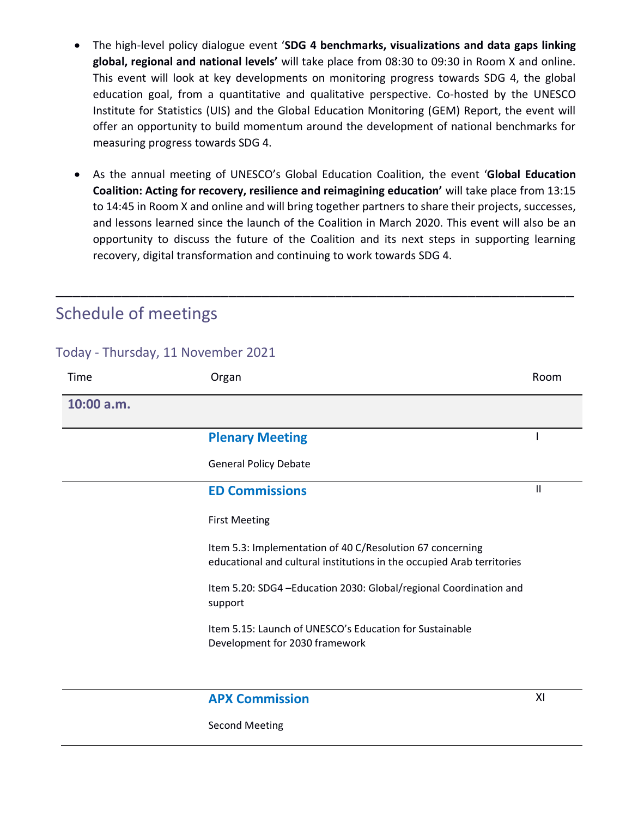- The high-level policy dialogue event '**SDG 4 benchmarks, visualizations and data gaps linking global, regional and national levels'** will take place from 08:30 to 09:30 in Room X and online. This event will look at key developments on monitoring progress towards SDG 4, the global education goal, from a quantitative and qualitative perspective. Co-hosted by the UNESCO Institute for Statistics (UIS) and the Global Education Monitoring (GEM) Report, the event will offer an opportunity to build momentum around the development of national benchmarks for measuring progress towards SDG 4.
- As the annual meeting of UNESCO's Global Education Coalition, the event '**Global Education Coalition: Acting for recovery, resilience and reimagining education'** will take place from 13:15 to 14:45 in Room X and online and will bring together partners to share their projects, successes, and lessons learned since the launch of the Coalition in March 2020. This event will also be an opportunity to discuss the future of the Coalition and its next steps in supporting learning recovery, digital transformation and continuing to work towards SDG 4.

\_\_\_\_\_\_\_\_\_\_\_\_\_\_\_\_\_\_\_\_\_\_\_\_\_\_\_\_\_\_\_\_\_\_\_\_\_\_\_\_\_\_\_\_\_\_\_\_\_\_\_\_\_\_\_\_\_\_\_\_\_\_\_

# Schedule of meetings

Today - Thursday, 11 November 2021

| Time       | Organ                                                                                                                               | Room |
|------------|-------------------------------------------------------------------------------------------------------------------------------------|------|
| 10:00 a.m. |                                                                                                                                     |      |
|            | <b>Plenary Meeting</b>                                                                                                              |      |
|            | <b>General Policy Debate</b>                                                                                                        |      |
|            | <b>ED Commissions</b>                                                                                                               | Ш    |
|            | <b>First Meeting</b>                                                                                                                |      |
|            | Item 5.3: Implementation of 40 C/Resolution 67 concerning<br>educational and cultural institutions in the occupied Arab territories |      |
|            | Item 5.20: SDG4 - Education 2030: Global/regional Coordination and<br>support                                                       |      |
|            | Item 5.15: Launch of UNESCO's Education for Sustainable<br>Development for 2030 framework                                           |      |
|            | <b>APX Commission</b>                                                                                                               | XI   |

Second Meeting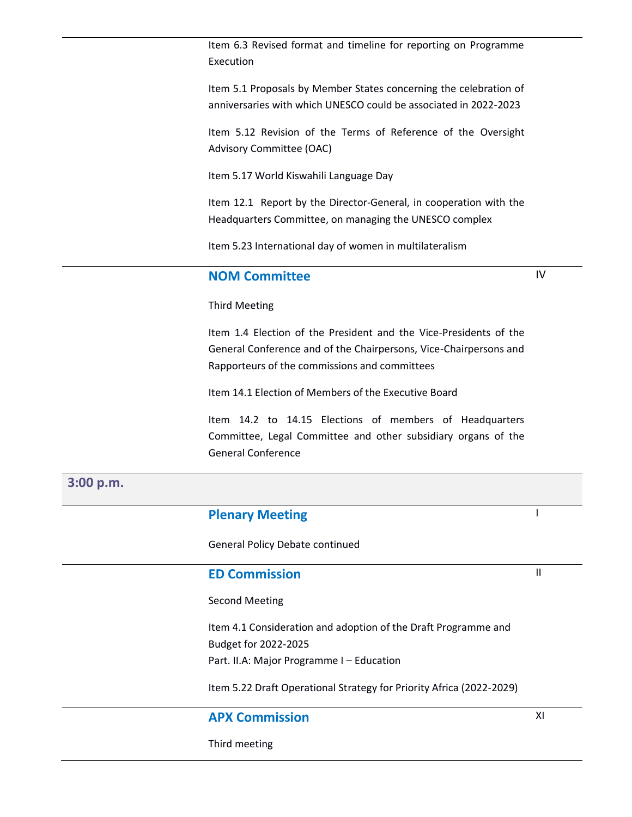Item 6.3 Revised format and timeline for reporting on Programme Execution

Item 5.1 Proposals by Member States concerning the celebration of anniversaries with which UNESCO could be associated in 2022-2023

Item 5.12 Revision of the Terms of Reference of the Oversight Advisory Committee (OAC)

Item 5.17 World Kiswahili Language Day

Item 12.1 Report by the Director-General, in cooperation with the Headquarters Committee, on managing the UNESCO complex

Item 5.23 International day of women in multilateralism

#### **NOM Committee**

IV

#### Third Meeting

Item 1.4 Election of the President and the Vice-Presidents of the General Conference and of the Chairpersons, Vice-Chairpersons and Rapporteurs of the commissions and committees

Item 14.1 Election of Members of the Executive Board

Item 14.2 to 14.15 Elections of members of Headquarters Committee, Legal Committee and other subsidiary organs of the General Conference

#### **3:00 p.m.**

#### **Plenary Meeting**

General Policy Debate continued

#### **ED Commission**

Second Meeting

Item 4.1 Consideration and adoption of the Draft Programme and Budget for 2022-2025 Part. II.A: Major Programme I – Education

Item 5.22 Draft Operational Strategy for Priority Africa (2022-2029)

#### **APX Commission**

Third meeting

I

II